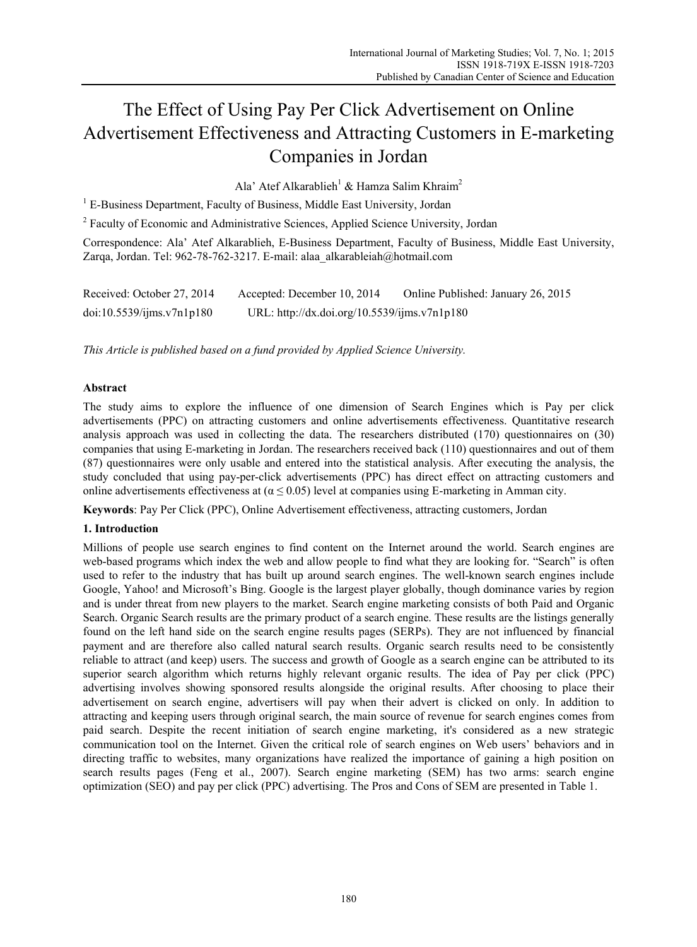# The Effect of Using Pay Per Click Advertisement on Online Advertisement Effectiveness and Attracting Customers in E-marketing Companies in Jordan

Ala' Atef Alkarablieh<sup>1</sup> & Hamza Salim Khraim<sup>2</sup>

<sup>1</sup> E-Business Department, Faculty of Business, Middle East University, Jordan

<sup>2</sup> Faculty of Economic and Administrative Sciences, Applied Science University, Jordan

Correspondence: Ala' Atef Alkarablieh, E-Business Department, Faculty of Business, Middle East University, Zarqa, Jordan. Tel: 962-78-762-3217. E-mail: alaa\_alkarableiah@hotmail.com

| Received: October 27, 2014 | Accepted: December 10, 2014                  | Online Published: January 26, 2015 |
|----------------------------|----------------------------------------------|------------------------------------|
| doi:10.5539/ijms.v7n1p180  | URL: http://dx.doi.org/10.5539/ijms.v7n1p180 |                                    |

*This Article is published based on a fund provided by Applied Science University.* 

# **Abstract**

The study aims to explore the influence of one dimension of Search Engines which is Pay per click advertisements (PPC) on attracting customers and online advertisements effectiveness. Quantitative research analysis approach was used in collecting the data. The researchers distributed (170) questionnaires on (30) companies that using E-marketing in Jordan. The researchers received back (110) questionnaires and out of them (87) questionnaires were only usable and entered into the statistical analysis. After executing the analysis, the study concluded that using pay-per-click advertisements (PPC) has direct effect on attracting customers and online advertisements effectiveness at ( $\alpha \le 0.05$ ) level at companies using E-marketing in Amman city.

**Keywords**: Pay Per Click (PPC), Online Advertisement effectiveness, attracting customers, Jordan

# **1. Introduction**

Millions of people use search engines to find content on the Internet around the world. Search engines are web-based programs which index the web and allow people to find what they are looking for. "Search" is often used to refer to the industry that has built up around search engines. The well-known search engines include Google, Yahoo! and Microsoft's Bing. Google is the largest player globally, though dominance varies by region and is under threat from new players to the market. Search engine marketing consists of both Paid and Organic Search. Organic Search results are the primary product of a search engine. These results are the listings generally found on the left hand side on the search engine results pages (SERPs). They are not influenced by financial payment and are therefore also called natural search results. Organic search results need to be consistently reliable to attract (and keep) users. The success and growth of Google as a search engine can be attributed to its superior search algorithm which returns highly relevant organic results. The idea of Pay per click (PPC) advertising involves showing sponsored results alongside the original results. After choosing to place their advertisement on search engine, advertisers will pay when their advert is clicked on only. In addition to attracting and keeping users through original search, the main source of revenue for search engines comes from paid search. Despite the recent initiation of search engine marketing, it's considered as a new strategic communication tool on the Internet. Given the critical role of search engines on Web users' behaviors and in directing traffic to websites, many organizations have realized the importance of gaining a high position on search results pages (Feng et al., 2007). Search engine marketing (SEM) has two arms: search engine optimization (SEO) and pay per click (PPC) advertising. The Pros and Cons of SEM are presented in Table 1.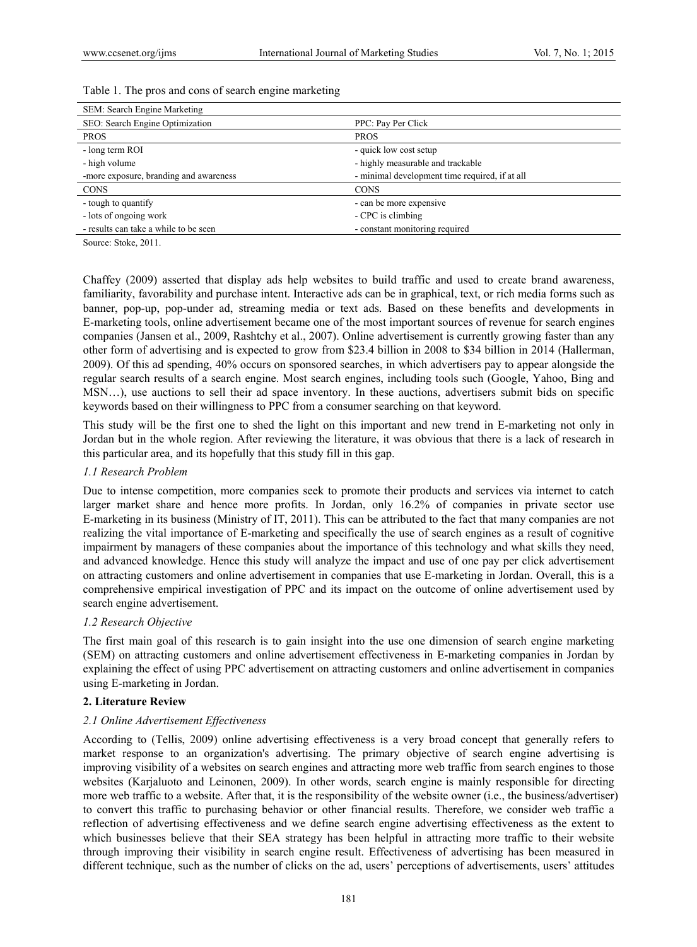| SEM: Search Engine Marketing           |                                                |
|----------------------------------------|------------------------------------------------|
| SEO: Search Engine Optimization        | PPC: Pay Per Click                             |
| <b>PROS</b>                            | <b>PROS</b>                                    |
| - long term ROI                        | - quick low cost setup                         |
| - high volume                          | - highly measurable and trackable              |
| -more exposure, branding and awareness | - minimal development time required, if at all |
| <b>CONS</b>                            | <b>CONS</b>                                    |
| - tough to quantify                    | - can be more expensive                        |
| - lots of ongoing work                 | - CPC is climbing                              |
| - results can take a while to be seen  | - constant monitoring required                 |

#### Table 1. The pros and cons of search engine marketing

Source: Stoke, 2011.

Chaffey (2009) asserted that display ads help websites to build traffic and used to create brand awareness, familiarity, favorability and purchase intent. Interactive ads can be in graphical, text, or rich media forms such as banner, pop-up, pop-under ad, streaming media or text ads. Based on these benefits and developments in E-marketing tools, online advertisement became one of the most important sources of revenue for search engines companies (Jansen et al., 2009, Rashtchy et al., 2007). Online advertisement is currently growing faster than any other form of advertising and is expected to grow from \$23.4 billion in 2008 to \$34 billion in 2014 (Hallerman, 2009). Of this ad spending, 40% occurs on sponsored searches, in which advertisers pay to appear alongside the regular search results of a search engine. Most search engines, including tools such (Google, Yahoo, Bing and MSN…), use auctions to sell their ad space inventory. In these auctions, advertisers submit bids on specific keywords based on their willingness to PPC from a consumer searching on that keyword.

This study will be the first one to shed the light on this important and new trend in E-marketing not only in Jordan but in the whole region. After reviewing the literature, it was obvious that there is a lack of research in this particular area, and its hopefully that this study fill in this gap.

#### *1.1 Research Problem*

Due to intense competition, more companies seek to promote their products and services via internet to catch larger market share and hence more profits. In Jordan, only 16.2% of companies in private sector use E-marketing in its business (Ministry of IT, 2011). This can be attributed to the fact that many companies are not realizing the vital importance of E-marketing and specifically the use of search engines as a result of cognitive impairment by managers of these companies about the importance of this technology and what skills they need, and advanced knowledge. Hence this study will analyze the impact and use of one pay per click advertisement on attracting customers and online advertisement in companies that use E-marketing in Jordan. Overall, this is a comprehensive empirical investigation of PPC and its impact on the outcome of online advertisement used by search engine advertisement.

#### *1.2 Research Objective*

The first main goal of this research is to gain insight into the use one dimension of search engine marketing (SEM) on attracting customers and online advertisement effectiveness in E-marketing companies in Jordan by explaining the effect of using PPC advertisement on attracting customers and online advertisement in companies using E-marketing in Jordan.

#### **2. Literature Review**

#### *2.1 Online Advertisement Effectiveness*

According to (Tellis, 2009) online advertising effectiveness is a very broad concept that generally refers to market response to an organization's advertising. The primary objective of search engine advertising is improving visibility of a websites on search engines and attracting more web traffic from search engines to those websites (Karjaluoto and Leinonen, 2009). In other words, search engine is mainly responsible for directing more web traffic to a website. After that, it is the responsibility of the website owner (i.e., the business/advertiser) to convert this traffic to purchasing behavior or other financial results. Therefore, we consider web traffic a reflection of advertising effectiveness and we define search engine advertising effectiveness as the extent to which businesses believe that their SEA strategy has been helpful in attracting more traffic to their website through improving their visibility in search engine result. Effectiveness of advertising has been measured in different technique, such as the number of clicks on the ad, users' perceptions of advertisements, users' attitudes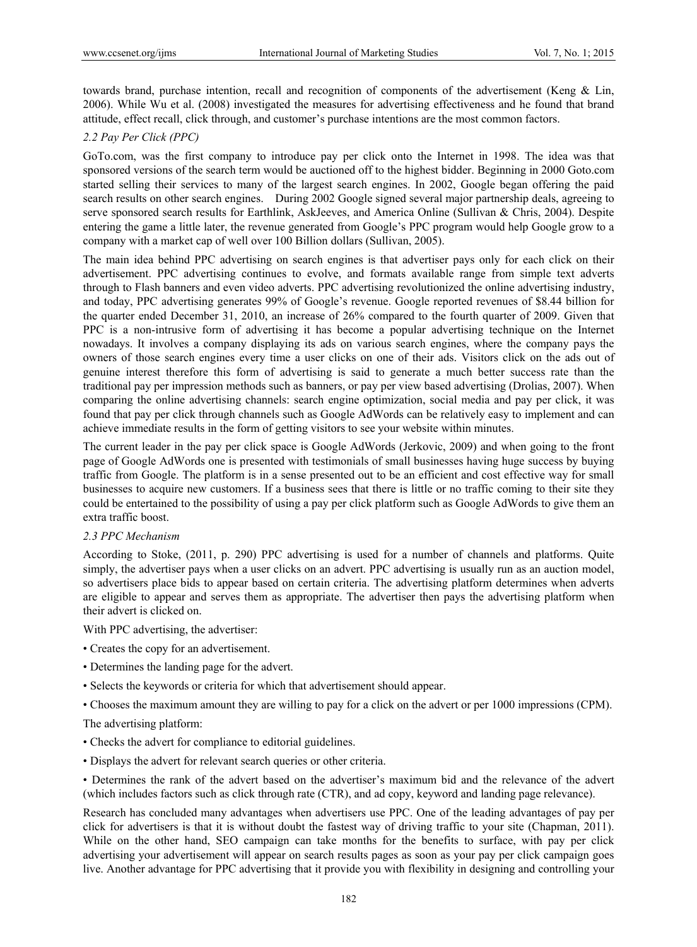towards brand, purchase intention, recall and recognition of components of the advertisement (Keng & Lin, 2006). While Wu et al. (2008) investigated the measures for advertising effectiveness and he found that brand attitude, effect recall, click through, and customer's purchase intentions are the most common factors.

# *2.2 Pay Per Click (PPC)*

GoTo.com, was the first company to introduce pay per click onto the Internet in 1998. The idea was that sponsored versions of the search term would be auctioned off to the highest bidder. Beginning in 2000 Goto.com started selling their services to many of the largest search engines. In 2002, Google began offering the paid search results on other search engines. During 2002 Google signed several major partnership deals, agreeing to serve sponsored search results for Earthlink, AskJeeves, and America Online (Sullivan & Chris, 2004). Despite entering the game a little later, the revenue generated from Google's PPC program would help Google grow to a company with a market cap of well over 100 Billion dollars (Sullivan, 2005).

The main idea behind PPC advertising on search engines is that advertiser pays only for each click on their advertisement. PPC advertising continues to evolve, and formats available range from simple text adverts through to Flash banners and even video adverts. PPC advertising revolutionized the online advertising industry, and today, PPC advertising generates 99% of Google's revenue. Google reported revenues of \$8.44 billion for the quarter ended December 31, 2010, an increase of 26% compared to the fourth quarter of 2009. Given that PPC is a non-intrusive form of advertising it has become a popular advertising technique on the Internet nowadays. It involves a company displaying its ads on various search engines, where the company pays the owners of those search engines every time a user clicks on one of their ads. Visitors click on the ads out of genuine interest therefore this form of advertising is said to generate a much better success rate than the traditional pay per impression methods such as banners, or pay per view based advertising (Drolias, 2007). When comparing the online advertising channels: search engine optimization, social media and pay per click, it was found that pay per click through channels such as Google AdWords can be relatively easy to implement and can achieve immediate results in the form of getting visitors to see your website within minutes.

The current leader in the pay per click space is Google AdWords (Jerkovic, 2009) and when going to the front page of Google AdWords one is presented with testimonials of small businesses having huge success by buying traffic from Google. The platform is in a sense presented out to be an efficient and cost effective way for small businesses to acquire new customers. If a business sees that there is little or no traffic coming to their site they could be entertained to the possibility of using a pay per click platform such as Google AdWords to give them an extra traffic boost.

# *2.3 PPC Mechanism*

According to Stoke, (2011, p. 290) PPC advertising is used for a number of channels and platforms. Quite simply, the advertiser pays when a user clicks on an advert. PPC advertising is usually run as an auction model, so advertisers place bids to appear based on certain criteria. The advertising platform determines when adverts are eligible to appear and serves them as appropriate. The advertiser then pays the advertising platform when their advert is clicked on.

With PPC advertising, the advertiser:

- Creates the copy for an advertisement.
- Determines the landing page for the advert.
- Selects the keywords or criteria for which that advertisement should appear.
- Chooses the maximum amount they are willing to pay for a click on the advert or per 1000 impressions (CPM).

The advertising platform:

- Checks the advert for compliance to editorial guidelines.
- Displays the advert for relevant search queries or other criteria.

• Determines the rank of the advert based on the advertiser's maximum bid and the relevance of the advert (which includes factors such as click through rate (CTR), and ad copy, keyword and landing page relevance).

Research has concluded many advantages when advertisers use PPC. One of the leading advantages of pay per click for advertisers is that it is without doubt the fastest way of driving traffic to your site (Chapman, 2011). While on the other hand, SEO campaign can take months for the benefits to surface, with pay per click advertising your advertisement will appear on search results pages as soon as your pay per click campaign goes live. Another advantage for PPC advertising that it provide you with flexibility in designing and controlling your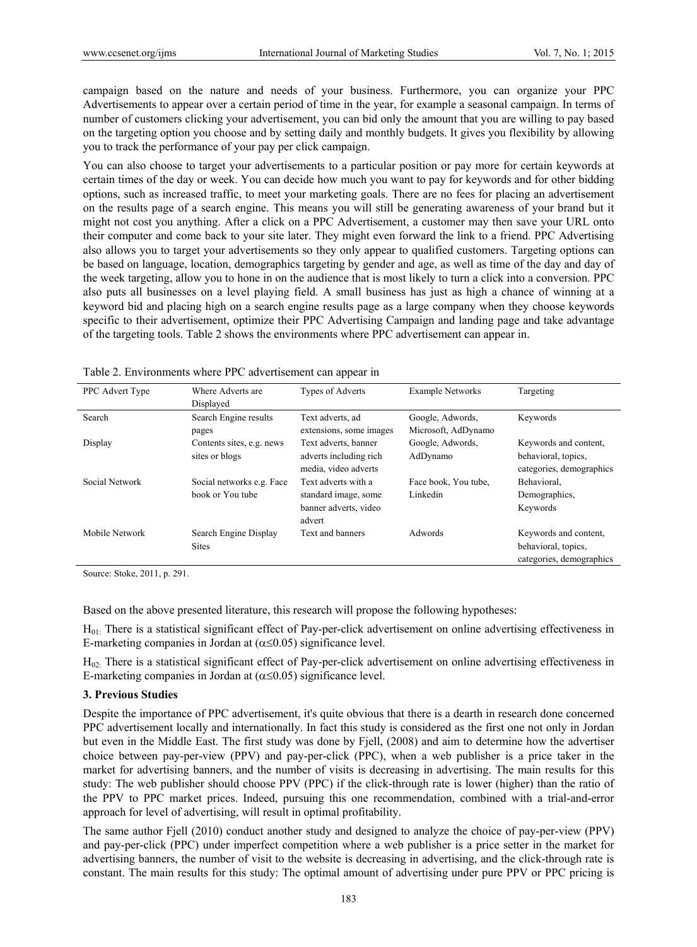campaign based on the nature and needs of your business. Furthermore, you can organize your PPC Advertisements to appear over a certain period of time in the year, for example a seasonal campaign. In terms of number of customers clicking your advertisement, you can bid only the amount that you are willing to pay based on the targeting option you choose and by setting daily and monthly budgets. It gives you flexibility by allowing you to track the performance of your pay per click campaign.

You can also choose to target your advertisements to a particular position or pay more for certain keywords at certain times of the day or week. You can decide how much you want to pay for keywords and for other bidding options, such as increased traffic, to meet your marketing goals. There are no fees for placing an advertisement on the results page of a search engine. This means you will still be generating awareness of your brand but it might not cost you anything. After a click on a PPC Advertisement, a customer may then save your URL onto their computer and come back to your site later. They might even forward the link to a friend. PPC Advertising also allows you to target your advertisements so they only appear to qualified customers. Targeting options can be based on language, location, demographics targeting by gender and age, as well as time of the day and day of the week targeting, allow you to hone in on the audience that is most likely to turn a click into a conversion. PPC also puts all businesses on a level playing field. A small business has just as high a chance of winning at a keyword bid and placing high on a search engine results page as a large company when they choose keywords specific to their advertisement, optimize their PPC Advertising Campaign and landing page and take advantage of the targeting tools. Table 2 shows the environments where PPC advertisement can appear in.

| PPC Advert Type | Where Adverts are<br>Displayed                | Types of Adverts                                                               | <b>Example Networks</b>                 | Targeting                                                                |
|-----------------|-----------------------------------------------|--------------------------------------------------------------------------------|-----------------------------------------|--------------------------------------------------------------------------|
| Search          | Search Engine results<br>pages                | Text adverts, ad<br>extensions, some images                                    | Google, Adwords,<br>Microsoft, AdDynamo | Keywords                                                                 |
| Display         | Contents sites, e.g. news<br>sites or blogs   | Text adverts, banner<br>adverts including rich<br>media, video adverts         | Google, Adwords,<br>AdDynamo            | Keywords and content,<br>behavioral, topics,<br>categories, demographics |
| Social Network  | Social networks e.g. Face<br>book or You tube | Text adverts with a<br>standard image, some<br>banner adverts, video<br>advert | Face book, You tube,<br>Linkedin        | Behavioral,<br>Demographics,<br>Keywords                                 |
| Mobile Network  | Search Engine Display<br><b>Sites</b>         | Text and banners                                                               | Adwords                                 | Keywords and content,<br>behavioral, topics,<br>categories, demographics |

Table 2. Environments where PPC advertisement can appear in

Source: Stoke, 2011, p. 291.

Based on the above presented literature, this research will propose the following hypotheses:

H01: There is a statistical significant effect of Pay-per-click advertisement on online advertising effectiveness in E-marketing companies in Jordan at  $(\alpha \le 0.05)$  significance level.

H02: There is a statistical significant effect of Pay-per-click advertisement on online advertising effectiveness in E-marketing companies in Jordan at  $(\alpha \le 0.05)$  significance level.

#### **3. Previous Studies**

Despite the importance of PPC advertisement, it's quite obvious that there is a dearth in research done concerned PPC advertisement locally and internationally. In fact this study is considered as the first one not only in Jordan but even in the Middle East. The first study was done by Fjell, (2008) and aim to determine how the advertiser choice between pay-per-view (PPV) and pay-per-click (PPC), when a web publisher is a price taker in the market for advertising banners, and the number of visits is decreasing in advertising. The main results for this study: The web publisher should choose PPV (PPC) if the click-through rate is lower (higher) than the ratio of the PPV to PPC market prices. Indeed, pursuing this one recommendation, combined with a trial-and-error approach for level of advertising, will result in optimal profitability.

The same author Fjell (2010) conduct another study and designed to analyze the choice of pay-per-view (PPV) and pay-per-click (PPC) under imperfect competition where a web publisher is a price setter in the market for advertising banners, the number of visit to the website is decreasing in advertising, and the click-through rate is constant. The main results for this study: The optimal amount of advertising under pure PPV or PPC pricing is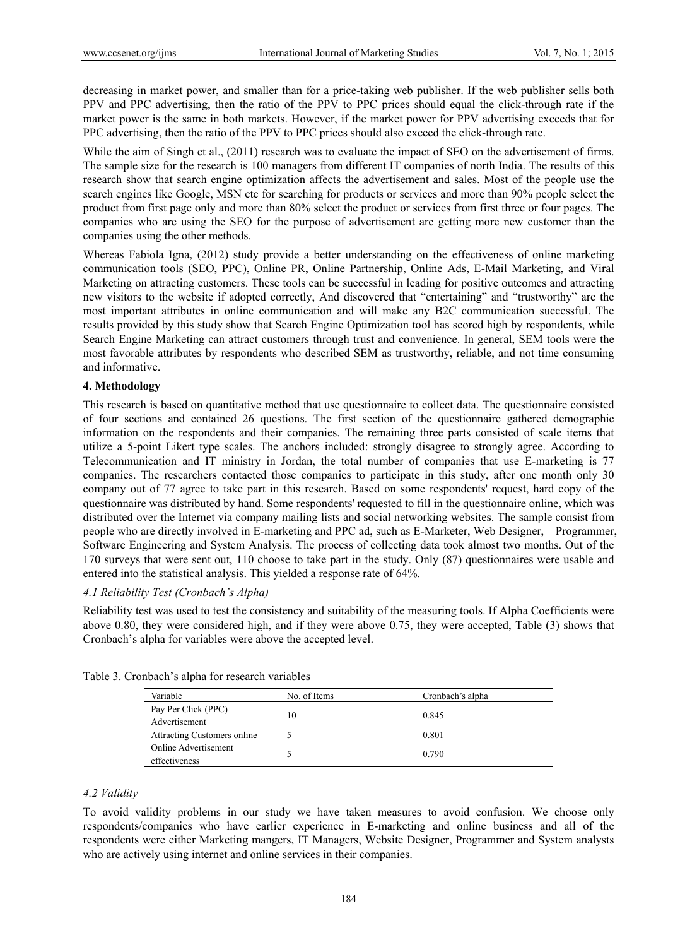decreasing in market power, and smaller than for a price-taking web publisher. If the web publisher sells both PPV and PPC advertising, then the ratio of the PPV to PPC prices should equal the click-through rate if the market power is the same in both markets. However, if the market power for PPV advertising exceeds that for PPC advertising, then the ratio of the PPV to PPC prices should also exceed the click-through rate.

While the aim of Singh et al., (2011) research was to evaluate the impact of SEO on the advertisement of firms. The sample size for the research is 100 managers from different IT companies of north India. The results of this research show that search engine optimization affects the advertisement and sales. Most of the people use the search engines like Google, MSN etc for searching for products or services and more than 90% people select the product from first page only and more than 80% select the product or services from first three or four pages. The companies who are using the SEO for the purpose of advertisement are getting more new customer than the companies using the other methods.

Whereas Fabiola Igna, (2012) study provide a better understanding on the effectiveness of online marketing communication tools (SEO, PPC), Online PR, Online Partnership, Online Ads, E-Mail Marketing, and Viral Marketing on attracting customers. These tools can be successful in leading for positive outcomes and attracting new visitors to the website if adopted correctly, And discovered that "entertaining" and "trustworthy" are the most important attributes in online communication and will make any B2C communication successful. The results provided by this study show that Search Engine Optimization tool has scored high by respondents, while Search Engine Marketing can attract customers through trust and convenience. In general, SEM tools were the most favorable attributes by respondents who described SEM as trustworthy, reliable, and not time consuming and informative.

#### **4. Methodology**

This research is based on quantitative method that use questionnaire to collect data. The questionnaire consisted of four sections and contained 26 questions. The first section of the questionnaire gathered demographic information on the respondents and their companies. The remaining three parts consisted of scale items that utilize a 5-point Likert type scales. The anchors included: strongly disagree to strongly agree. According to Telecommunication and IT ministry in Jordan, the total number of companies that use E-marketing is 77 companies. The researchers contacted those companies to participate in this study, after one month only 30 company out of 77 agree to take part in this research. Based on some respondents' request, hard copy of the questionnaire was distributed by hand. Some respondents' requested to fill in the questionnaire online, which was distributed over the Internet via company mailing lists and social networking websites. The sample consist from people who are directly involved in E-marketing and PPC ad, such as E-Marketer, Web Designer, Programmer, Software Engineering and System Analysis. The process of collecting data took almost two months. Out of the 170 surveys that were sent out, 110 choose to take part in the study. Only (87) questionnaires were usable and entered into the statistical analysis. This yielded a response rate of 64%.

## *4.1 Reliability Test (Cronbach's Alpha)*

Reliability test was used to test the consistency and suitability of the measuring tools. If Alpha Coefficients were above 0.80, they were considered high, and if they were above 0.75, they were accepted, Table (3) shows that Cronbach's alpha for variables were above the accepted level.

| Variable                    | No. of Items | Cronbach's alpha |  |
|-----------------------------|--------------|------------------|--|
| Pay Per Click (PPC)         | 10           | 0.845            |  |
| Advertisement               |              |                  |  |
| Attracting Customers online |              | 0.801            |  |
| Online Advertisement        |              | 0.790            |  |
| effectiveness               |              |                  |  |

| Table 3. Cronbach's alpha for research variables |  |
|--------------------------------------------------|--|
|--------------------------------------------------|--|

#### *4.2 Validity*

To avoid validity problems in our study we have taken measures to avoid confusion. We choose only respondents/companies who have earlier experience in E-marketing and online business and all of the respondents were either Marketing mangers, IT Managers, Website Designer, Programmer and System analysts who are actively using internet and online services in their companies.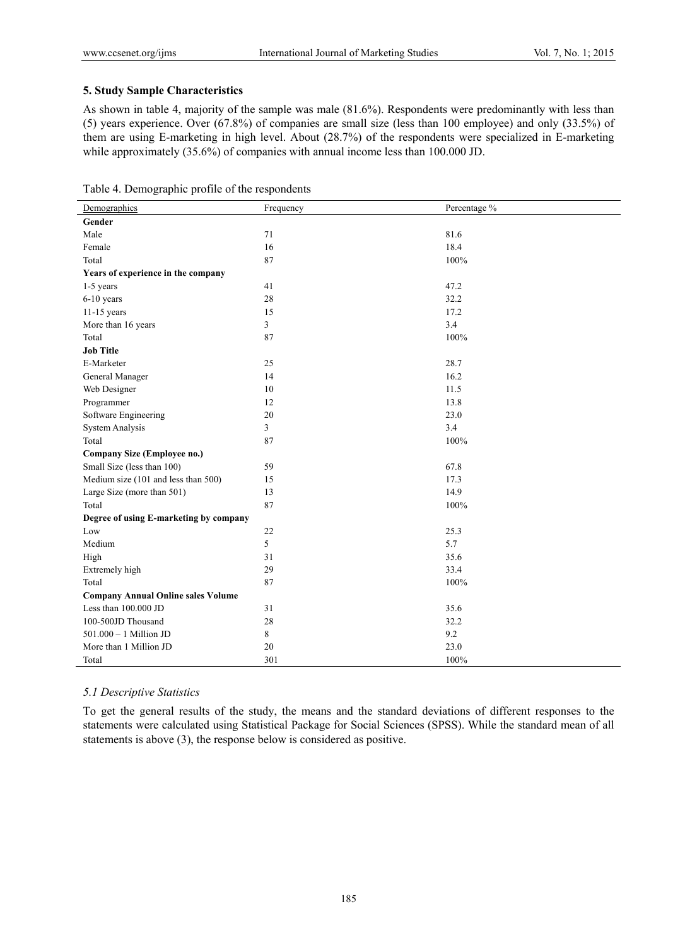# **5. Study Sample Characteristics**

As shown in table 4, majority of the sample was male (81.6%). Respondents were predominantly with less than (5) years experience. Over (67.8%) of companies are small size (less than 100 employee) and only (33.5%) of them are using E-marketing in high level. About (28.7%) of the respondents were specialized in E-marketing while approximately  $(35.6\%)$  of companies with annual income less than 100.000 JD.

| Demographics                              | Frequency      | Percentage % |
|-------------------------------------------|----------------|--------------|
| Gender                                    |                |              |
| Male                                      | 71             | 81.6         |
| Female                                    | 16             | 18.4         |
| Total                                     | 87             | 100%         |
| Years of experience in the company        |                |              |
| 1-5 years                                 | 41             | 47.2         |
| 6-10 years                                | 28             | 32.2         |
| 11-15 years                               | 15             | 17.2         |
| More than 16 years                        | 3              | 3.4          |
| Total                                     | 87             | 100%         |
| <b>Job Title</b>                          |                |              |
| E-Marketer                                | 25             | 28.7         |
| General Manager                           | 14             | 16.2         |
| Web Designer                              | 10             | 11.5         |
| Programmer                                | 12             | 13.8         |
| Software Engineering                      | 20             | 23.0         |
| <b>System Analysis</b>                    | $\overline{3}$ | 3.4          |
| Total                                     | 87             | 100%         |
| Company Size (Employee no.)               |                |              |
| Small Size (less than 100)                | 59             | 67.8         |
| Medium size (101 and less than 500)       | 15             | 17.3         |
| Large Size (more than 501)                | 13             | 14.9         |
| Total                                     | 87             | 100%         |
| Degree of using E-marketing by company    |                |              |
| Low                                       | 22             | 25.3         |
| Medium                                    | 5              | 5.7          |
| High                                      | 31             | 35.6         |
| Extremely high                            | 29             | 33.4         |
| Total                                     | 87             | 100%         |
| <b>Company Annual Online sales Volume</b> |                |              |
| Less than 100.000 JD                      | 31             | 35.6         |
| 100-500JD Thousand                        | 28             | 32.2         |
| $501.000 - 1$ Million JD                  | 8              | 9.2          |
| More than 1 Million JD                    | 20             | 23.0         |
| Total                                     | 301            | 100%         |

Table 4. Demographic profile of the respondents

# *5.1 Descriptive Statistics*

To get the general results of the study, the means and the standard deviations of different responses to the statements were calculated using Statistical Package for Social Sciences (SPSS). While the standard mean of all statements is above (3), the response below is considered as positive.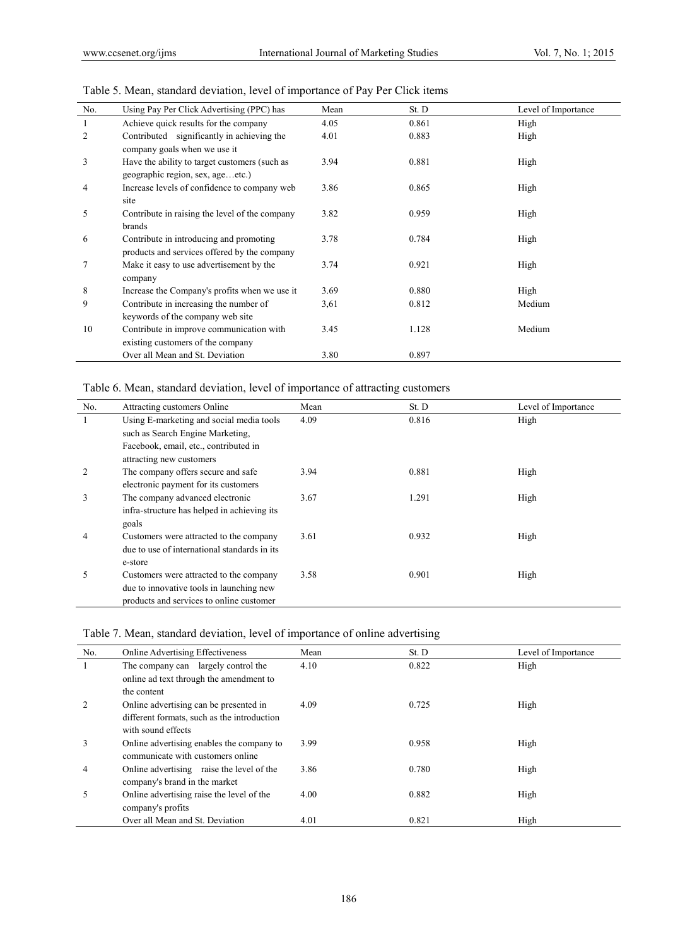| No. | Using Pay Per Click Advertising (PPC) has      | Mean | St. D | Level of Importance |
|-----|------------------------------------------------|------|-------|---------------------|
|     | Achieve quick results for the company          | 4.05 | 0.861 | High                |
| 2   | Contributed significantly in achieving the     | 4.01 | 0.883 | High                |
|     | company goals when we use it                   |      |       |                     |
| 3   | Have the ability to target customers (such as  | 3.94 | 0.881 | High                |
|     | geographic region, sex, ageetc.)               |      |       |                     |
| 4   | Increase levels of confidence to company web   | 3.86 | 0.865 | High                |
|     | site                                           |      |       |                     |
| 5   | Contribute in raising the level of the company | 3.82 | 0.959 | High                |
|     | brands                                         |      |       |                     |
| 6   | Contribute in introducing and promoting        | 3.78 | 0.784 | High                |
|     | products and services offered by the company   |      |       |                     |
| 7   | Make it easy to use advertisement by the       | 3.74 | 0.921 | High                |
|     | company                                        |      |       |                     |
| 8   | Increase the Company's profits when we use it  | 3.69 | 0.880 | High                |
| 9   | Contribute in increasing the number of         | 3,61 | 0.812 | Medium              |
|     | keywords of the company web site               |      |       |                     |
| 10  | Contribute in improve communication with       | 3.45 | 1.128 | Medium              |
|     | existing customers of the company              |      |       |                     |
|     | Over all Mean and St. Deviation                | 3.80 | 0.897 |                     |

# Table 5. Mean, standard deviation, level of importance of Pay Per Click items

# Table 6. Mean, standard deviation, level of importance of attracting customers

| No.            | Attracting customers Online                                                                                                                       | Mean | St. D | Level of Importance |
|----------------|---------------------------------------------------------------------------------------------------------------------------------------------------|------|-------|---------------------|
|                | Using E-marketing and social media tools<br>such as Search Engine Marketing,<br>Facebook, email, etc., contributed in<br>attracting new customers | 4.09 | 0.816 | High                |
| $\overline{c}$ | The company offers secure and safe<br>electronic payment for its customers                                                                        | 3.94 | 0.881 | High                |
| 3              | The company advanced electronic<br>infra-structure has helped in achieving its<br>goals                                                           | 3.67 | 1.291 | High                |
| 4              | Customers were attracted to the company<br>due to use of international standards in its<br>e-store                                                | 3.61 | 0.932 | High                |
| 5              | Customers were attracted to the company<br>due to innovative tools in launching new<br>products and services to online customer                   | 3.58 | 0.901 | High                |

| Table 7. Mean, standard deviation, level of importance of online advertising |  |  |
|------------------------------------------------------------------------------|--|--|
|                                                                              |  |  |

| No. | <b>Online Advertising Effectiveness</b>                                        | Mean | St. D | Level of Importance |
|-----|--------------------------------------------------------------------------------|------|-------|---------------------|
|     | The company can largely control the                                            | 4.10 | 0.822 | High                |
|     | online ad text through the amendment to                                        |      |       |                     |
|     | the content                                                                    |      |       |                     |
|     | Online advertising can be presented in                                         | 4.09 | 0.725 | High                |
|     | different formats, such as the introduction<br>with sound effects              |      |       |                     |
| 3   | Online advertising enables the company to<br>communicate with customers online | 3.99 | 0.958 | High                |
| 4   | Online advertising raise the level of the<br>company's brand in the market     | 3.86 | 0.780 | High                |
| 5   | Online advertising raise the level of the<br>company's profits                 | 4.00 | 0.882 | High                |
|     | Over all Mean and St. Deviation                                                | 4.01 | 0.821 | High                |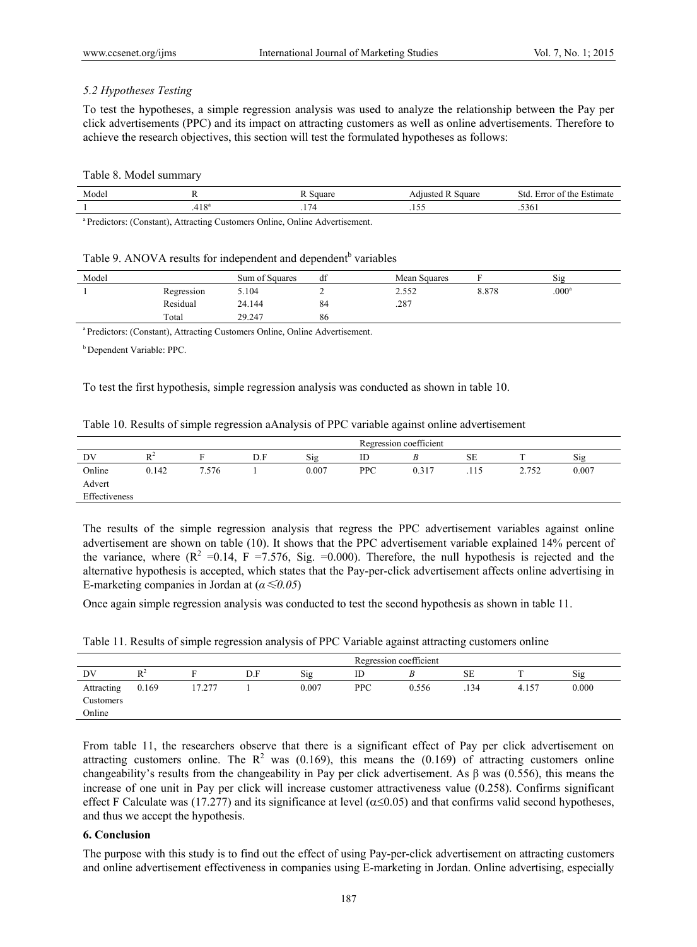#### *5.2 Hypotheses Testing*

To test the hypotheses, a simple regression analysis was used to analyze the relationship between the Pay per click advertisements (PPC) and its impact on attracting customers as well as online advertisements. Therefore to achieve the research objectives, this section will test the formulated hypotheses as follows:

# Table 8. Model summary

| Model |               | $\cdots$<br>лаг | quare<br>$A$ duicta | $\sim$<br>5tc<br>the<br>≾stımate<br>rror<br>ω1 |
|-------|---------------|-----------------|---------------------|------------------------------------------------|
|       | 41 O B<br>418 | . .             | - -<br>.            | $\sim$<br>930.                                 |

a Predictors: (Constant), Attracting Customers Online, Online Advertisement.

| Table 9. ANOVA results for independent and dependent <sup>b</sup> variables |  |  |  |  |  |  |  |  |
|-----------------------------------------------------------------------------|--|--|--|--|--|--|--|--|
|-----------------------------------------------------------------------------|--|--|--|--|--|--|--|--|

| Model |            | Sum of Squares | df | Mean Squares |       | Sig               |
|-------|------------|----------------|----|--------------|-------|-------------------|
|       | Regression | 5.104          |    | 2.552        | 8.878 | .000 <sup>a</sup> |
|       | Residual   | 24.144         | 84 | .287         |       |                   |
|       | Total      | 29.247         | 86 |              |       |                   |

a Predictors: (Constant), Attracting Customers Online, Online Advertisement.

b Dependent Variable: PPC.

To test the first hypothesis, simple regression analysis was conducted as shown in table 10.

|  | Table 10. Results of simple regression aAnalysis of PPC variable against online advertisement |  |  |  |
|--|-----------------------------------------------------------------------------------------------|--|--|--|
|  |                                                                                               |  |  |  |

|               |                | Regression coefficient |     |                |            |       |    |       |       |
|---------------|----------------|------------------------|-----|----------------|------------|-------|----|-------|-------|
| DV            | $\mathbf{D}^2$ |                        | D.F | $\mathrm{Sig}$ |            |       | SЕ |       | Sig   |
| Online        | 0.142          | 7.576                  |     | 0.007          | <b>PPC</b> | 0.317 |    | 2.752 | 0.007 |
| Advert        |                |                        |     |                |            |       |    |       |       |
| Effectiveness |                |                        |     |                |            |       |    |       |       |

The results of the simple regression analysis that regress the PPC advertisement variables against online advertisement are shown on table (10). It shows that the PPC advertisement variable explained 14% percent of the variance, where  $(R^2 = 0.14, F = 7.576, Sig. = 0.000)$ . Therefore, the null hypothesis is rejected and the alternative hypothesis is accepted, which states that the Pay-per-click advertisement affects online advertising in E-marketing companies in Jordan at (*α*≤*0.05*)

Once again simple regression analysis was conducted to test the second hypothesis as shown in table 11.

|  |  | Table 11. Results of simple regression analysis of PPC Variable against attracting customers online |  |  |
|--|--|-----------------------------------------------------------------------------------------------------|--|--|
|  |  |                                                                                                     |  |  |

|            |                | Regression coefficient |     |       |            |       |      |       |       |
|------------|----------------|------------------------|-----|-------|------------|-------|------|-------|-------|
| DV         | $\mathbf{R}^2$ |                        | D.F | Sig   | ID         |       | SЕ   |       | Sig   |
| Attracting | 0.169          | 17.277                 |     | 0.007 | <b>PPC</b> | 0.556 | .134 | 4.157 | 0.000 |
| Customers  |                |                        |     |       |            |       |      |       |       |
| Online     |                |                        |     |       |            |       |      |       |       |

From table 11, the researchers observe that there is a significant effect of Pay per click advertisement on attracting customers online. The  $R^2$  was (0.169), this means the (0.169) of attracting customers online changeability's results from the changeability in Pay per click advertisement. As β was (0.556), this means the increase of one unit in Pay per click will increase customer attractiveness value (0.258). Confirms significant effect F Calculate was (17.277) and its significance at level  $(\alpha \le 0.05)$  and that confirms valid second hypotheses, and thus we accept the hypothesis.

#### **6. Conclusion**

The purpose with this study is to find out the effect of using Pay-per-click advertisement on attracting customers and online advertisement effectiveness in companies using E-marketing in Jordan. Online advertising, especially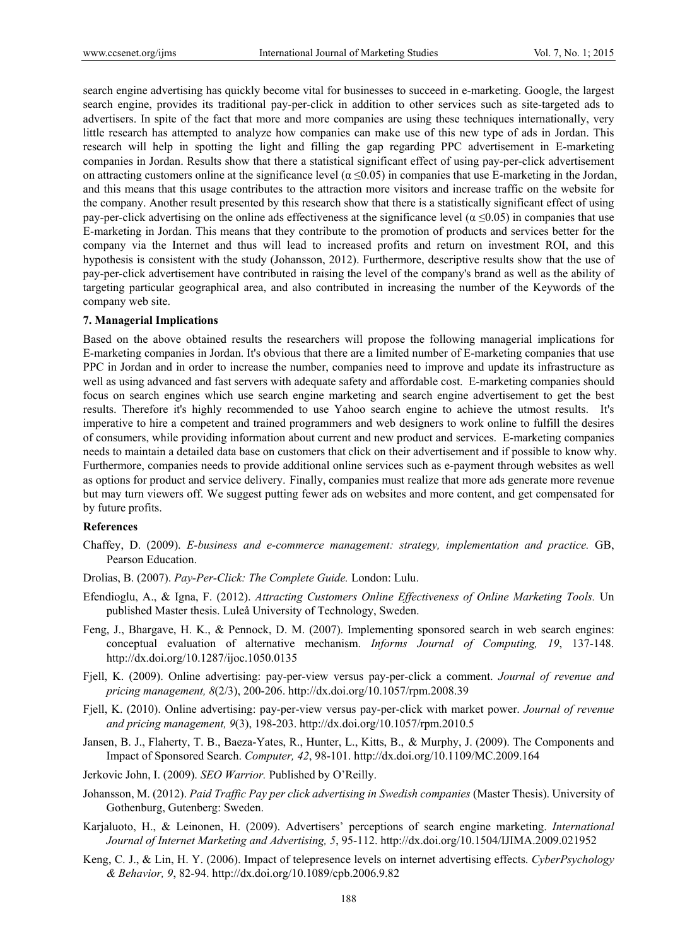search engine advertising has quickly become vital for businesses to succeed in e-marketing. Google, the largest search engine, provides its traditional pay-per-click in addition to other services such as site-targeted ads to advertisers. In spite of the fact that more and more companies are using these techniques internationally, very little research has attempted to analyze how companies can make use of this new type of ads in Jordan. This research will help in spotting the light and filling the gap regarding PPC advertisement in E-marketing companies in Jordan. Results show that there a statistical significant effect of using pay-per-click advertisement on attracting customers online at the significance level ( $\alpha \le 0.05$ ) in companies that use E-marketing in the Jordan, and this means that this usage contributes to the attraction more visitors and increase traffic on the website for the company. Another result presented by this research show that there is a statistically significant effect of using pay-per-click advertising on the online ads effectiveness at the significance level ( $\alpha \le 0.05$ ) in companies that use E-marketing in Jordan. This means that they contribute to the promotion of products and services better for the company via the Internet and thus will lead to increased profits and return on investment ROI, and this hypothesis is consistent with the study (Johansson, 2012). Furthermore, descriptive results show that the use of pay-per-click advertisement have contributed in raising the level of the company's brand as well as the ability of targeting particular geographical area, and also contributed in increasing the number of the Keywords of the company web site.

#### **7. Managerial Implications**

Based on the above obtained results the researchers will propose the following managerial implications for E-marketing companies in Jordan. It's obvious that there are a limited number of E-marketing companies that use PPC in Jordan and in order to increase the number, companies need to improve and update its infrastructure as well as using advanced and fast servers with adequate safety and affordable cost. E-marketing companies should focus on search engines which use search engine marketing and search engine advertisement to get the best results. Therefore it's highly recommended to use Yahoo search engine to achieve the utmost results. It's imperative to hire a competent and trained programmers and web designers to work online to fulfill the desires of consumers, while providing information about current and new product and services. E-marketing companies needs to maintain a detailed data base on customers that click on their advertisement and if possible to know why. Furthermore, companies needs to provide additional online services such as e-payment through websites as well as options for product and service delivery. Finally, companies must realize that more ads generate more revenue but may turn viewers off. We suggest putting fewer ads on websites and more content, and get compensated for by future profits.

#### **References**

- Chaffey, D. (2009). *E-business and e-commerce management: strategy, implementation and practice.* GB, Pearson Education.
- Drolias, B. (2007). *Pay-Per-Click: The Complete Guide.* London: Lulu.
- Efendioglu, A., & Igna, F. (2012). *Attracting Customers Online Effectiveness of Online Marketing Tools.* Un published Master thesis. Luleå University of Technology, Sweden.
- Feng, J., Bhargave, H. K., & Pennock, D. M. (2007). Implementing sponsored search in web search engines: conceptual evaluation of alternative mechanism. *Informs Journal of Computing, 19*, 137-148. http://dx.doi.org/10.1287/ijoc.1050.0135
- Fjell, K. (2009). Online advertising: pay-per-view versus pay-per-click a comment. *Journal of revenue and pricing management, 8*(2/3), 200-206. http://dx.doi.org/10.1057/rpm.2008.39
- Fjell, K. (2010). Online advertising: pay-per-view versus pay-per-click with market power. *Journal of revenue and pricing management, 9*(3), 198-203. http://dx.doi.org/10.1057/rpm.2010.5
- Jansen, B. J., Flaherty, T. B., Baeza-Yates, R., Hunter, L., Kitts, B., & Murphy, J. (2009). The Components and Impact of Sponsored Search. *Computer, 42*, 98-101. http://dx.doi.org/10.1109/MC.2009.164
- Jerkovic John, I. (2009). *SEO Warrior.* Published by O'Reilly.
- Johansson, M. (2012). *Paid Traffic Pay per click advertising in Swedish companies* (Master Thesis). University of Gothenburg, Gutenberg: Sweden.
- Karjaluoto, H., & Leinonen, H. (2009). Advertisers' perceptions of search engine marketing. *International Journal of Internet Marketing and Advertising, 5*, 95-112. http://dx.doi.org/10.1504/IJIMA.2009.021952
- Keng, C. J., & Lin, H. Y. (2006). Impact of telepresence levels on internet advertising effects. *CyberPsychology & Behavior, 9*, 82-94. http://dx.doi.org/10.1089/cpb.2006.9.82